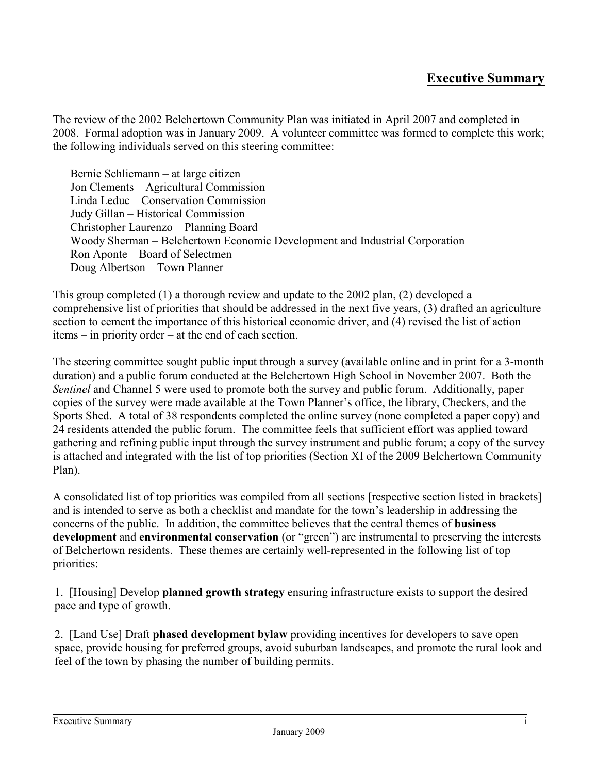## **Executive Summary**

The review of the 2002 Belchertown Community Plan was initiated in April 2007 and completed in 2008. Formal adoption was in January 2009. A volunteer committee was formed to complete this work; the following individuals served on this steering committee:

Bernie Schliemann – at large citizen Jon Clements – Agricultural Commission Linda Leduc – Conservation Commission Judy Gillan – Historical Commission Christopher Laurenzo – Planning Board Woody Sherman – Belchertown Economic Development and Industrial Corporation Ron Aponte – Board of Selectmen Doug Albertson – Town Planner

This group completed (1) a thorough review and update to the 2002 plan, (2) developed a comprehensive list of priorities that should be addressed in the next five years, (3) drafted an agriculture section to cement the importance of this historical economic driver, and (4) revised the list of action items – in priority order – at the end of each section.

The steering committee sought public input through a survey (available online and in print for a 3-month duration) and a public forum conducted at the Belchertown High School in November 2007. Both the *Sentinel* and Channel 5 were used to promote both the survey and public forum. Additionally, paper copies of the survey were made available at the Town Planner's office, the library, Checkers, and the Sports Shed. A total of 38 respondents completed the online survey (none completed a paper copy) and 24 residents attended the public forum. The committee feels that sufficient effort was applied toward gathering and refining public input through the survey instrument and public forum; a copy of the survey is attached and integrated with the list of top priorities (Section XI of the 2009 Belchertown Community Plan).

A consolidated list of top priorities was compiled from all sections [respective section listed in brackets] and is intended to serve as both a checklist and mandate for the town's leadership in addressing the concerns of the public. In addition, the committee believes that the central themes of **business development** and **environmental conservation** (or "green") are instrumental to preserving the interests of Belchertown residents. These themes are certainly well-represented in the following list of top priorities:

1. [Housing] Develop **planned growth strategy** ensuring infrastructure exists to support the desired pace and type of growth.

2. [Land Use] Draft **phased development bylaw** providing incentives for developers to save open space, provide housing for preferred groups, avoid suburban landscapes, and promote the rural look and feel of the town by phasing the number of building permits.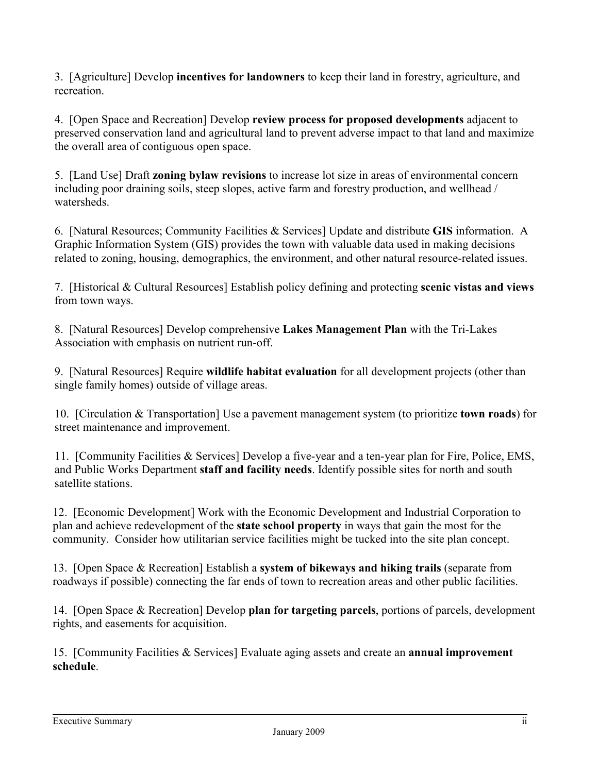3. [Agriculture] Develop **incentives for landowners** to keep their land in forestry, agriculture, and recreation.

4. [Open Space and Recreation] Develop **review process for proposed developments** adjacent to preserved conservation land and agricultural land to prevent adverse impact to that land and maximize the overall area of contiguous open space.

5. [Land Use] Draft **zoning bylaw revisions** to increase lot size in areas of environmental concern including poor draining soils, steep slopes, active farm and forestry production, and wellhead / watersheds.

6. [Natural Resources; Community Facilities & Services] Update and distribute **GIS** information. A Graphic Information System (GIS) provides the town with valuable data used in making decisions related to zoning, housing, demographics, the environment, and other natural resource-related issues.

7. [Historical & Cultural Resources] Establish policy defining and protecting **scenic vistas and views** from town ways.

8. [Natural Resources] Develop comprehensive **Lakes Management Plan** with the Tri-Lakes Association with emphasis on nutrient run-off.

9. [Natural Resources] Require **wildlife habitat evaluation** for all development projects (other than single family homes) outside of village areas.

10. [Circulation & Transportation] Use a pavement management system (to prioritize **town roads**) for street maintenance and improvement.

11. [Community Facilities & Services] Develop a five-year and a ten-year plan for Fire, Police, EMS, and Public Works Department **staff and facility needs**. Identify possible sites for north and south satellite stations.

12. [Economic Development] Work with the Economic Development and Industrial Corporation to plan and achieve redevelopment of the **state school property** in ways that gain the most for the community. Consider how utilitarian service facilities might be tucked into the site plan concept.

13. [Open Space & Recreation] Establish a **system of bikeways and hiking trails** (separate from roadways if possible) connecting the far ends of town to recreation areas and other public facilities.

14. [Open Space & Recreation] Develop **plan for targeting parcels**, portions of parcels, development rights, and easements for acquisition.

15. [Community Facilities & Services] Evaluate aging assets and create an **annual improvement schedule**.